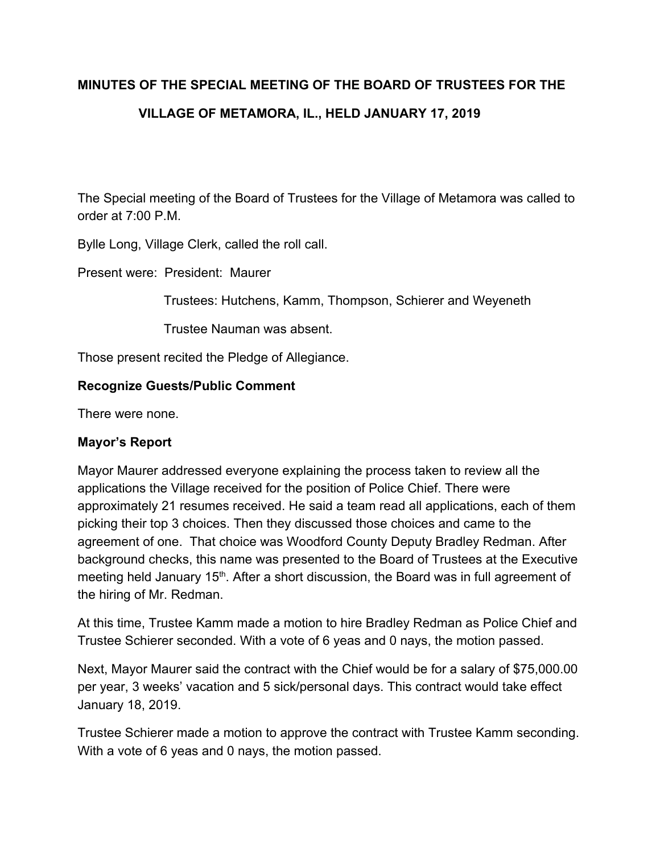## **MINUTES OF THE SPECIAL MEETING OF THE BOARD OF TRUSTEES FOR THE VILLAGE OF METAMORA, IL., HELD JANUARY 17, 2019**

The Special meeting of the Board of Trustees for the Village of Metamora was called to order at 7:00 P.M.

Bylle Long, Village Clerk, called the roll call.

Present were: President: Maurer

Trustees: Hutchens, Kamm, Thompson, Schierer and Weyeneth

Trustee Nauman was absent.

Those present recited the Pledge of Allegiance.

## **Recognize Guests/Public Comment**

There were none.

## **Mayor's Report**

Mayor Maurer addressed everyone explaining the process taken to review all the applications the Village received for the position of Police Chief. There were approximately 21 resumes received. He said a team read all applications, each of them picking their top 3 choices. Then they discussed those choices and came to the agreement of one. That choice was Woodford County Deputy Bradley Redman. After background checks, this name was presented to the Board of Trustees at the Executive meeting held January 15<sup>th</sup>. After a short discussion, the Board was in full agreement of the hiring of Mr. Redman.

At this time, Trustee Kamm made a motion to hire Bradley Redman as Police Chief and Trustee Schierer seconded. With a vote of 6 yeas and 0 nays, the motion passed.

Next, Mayor Maurer said the contract with the Chief would be for a salary of \$75,000.00 per year, 3 weeks' vacation and 5 sick/personal days. This contract would take effect January 18, 2019.

Trustee Schierer made a motion to approve the contract with Trustee Kamm seconding. With a vote of 6 yeas and 0 nays, the motion passed.